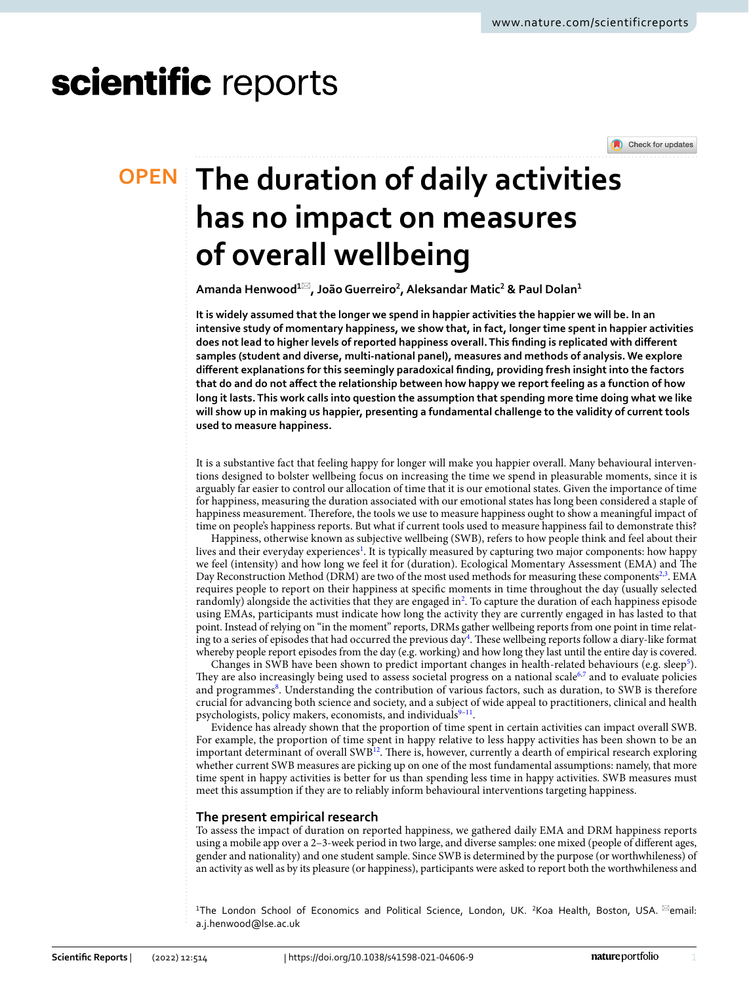# scientific reports

Check for updates

# **The duration of daily activities OPEN has no impact on measures of overall wellbeing**

**Amanda Henwood1**\***, JoãoGuerreiro2 , Aleksandar Matic2 & Paul Dolan1**

**It is widely assumed that the longer we spend in happier activities the happier we will be. In an intensive study of momentary happiness, we show that, in fact, longer time spent in happier activities does not lead to higher levels of reported happiness overall. This fnding is replicated with diferent samples (student and diverse, multi-national panel), measures and methods of analysis. We explore diferent explanations for this seemingly paradoxical fnding, providing fresh insight into the factors that do and do not afect the relationship between how happy we report feeling as a function of how long it lasts. This work calls into question the assumption that spending more time doing what we like will show up in making us happier, presenting a fundamental challenge to the validity of current tools used to measure happiness.**

It is a substantive fact that feeling happy for longer will make you happier overall. Many behavioural interventions designed to bolster wellbeing focus on increasing the time we spend in pleasurable moments, since it is arguably far easier to control our allocation of time that it is our emotional states. Given the importance of time for happiness, measuring the duration associated with our emotional states has long been considered a staple of happiness measurement. Therefore, the tools we use to measure happiness ought to show a meaningful impact of time on people's happiness reports. But what if current tools used to measure happiness fail to demonstrate this?

Happiness, otherwise known as subjective wellbeing (SWB), refers to how people think and feel about their lives and their everyday experiences<sup>1</sup>. It is typically measured by capturing two major components: how happy we feel (intensity) and how long we feel it for (duration). Ecological Momentary Assessment (EMA) and The Day Reconstruction Method (DRM) are two of the most used methods for measuring these components<sup>2[,3](#page-6-2)</sup>. EMA requires people to report on their happiness at specifc moments in time throughout the day (usually selected randomly) alongside the activities that they are engaged in<sup>[2](#page-6-1)</sup>. To capture the duration of each happiness episode using EMAs, participants must indicate how long the activity they are currently engaged in has lasted to that point. Instead of relying on "in the moment" reports, DRMs gather wellbeing reports from one point in time relat-ing to a series of episodes that had occurred the previous day<sup>[4](#page-6-3)</sup>. These wellbeing reports follow a diary-like format whereby people report episodes from the day (e.g. working) and how long they last until the entire day is covered.

Changes in SWB have been shown to predict important changes in health-related behaviours (e.g. sleep<sup>5</sup>). They are also increasingly being used to assess societal progress on a national scale<sup>6[,7](#page-6-6)</sup> and to evaluate policies and programmes<sup>[8](#page-6-7)</sup>. Understanding the contribution of various factors, such as duration, to SWB is therefore crucial for advancing both science and society, and a subject of wide appeal to practitioners, clinical and health psychologists, policy makers, economists, and individuals<sup>9-11</sup>.

Evidence has already shown that the proportion of time spent in certain activities can impact overall SWB. For example, the proportion of time spent in happy relative to less happy activities has been shown to be an important determinant of overall SWB<sup>[12](#page-6-10)</sup>. There is, however, currently a dearth of empirical research exploring whether current SWB measures are picking up on one of the most fundamental assumptions: namely, that more time spent in happy activities is better for us than spending less time in happy activities. SWB measures must meet this assumption if they are to reliably inform behavioural interventions targeting happiness.

# **The present empirical research**

To assess the impact of duration on reported happiness, we gathered daily EMA and DRM happiness reports using a mobile app over a 2–3-week period in two large, and diverse samples: one mixed (people of diferent ages, gender and nationality) and one student sample. Since SWB is determined by the purpose (or worthwhileness) of an activity as well as by its pleasure (or happiness), participants were asked to report both the worthwhileness and

<sup>1</sup>The London School of Economics and Political Science, London, UK. <sup>2</sup>Koa Health, Boston, USA. <sup>⊠</sup>email: a.j.henwood@lse.ac.uk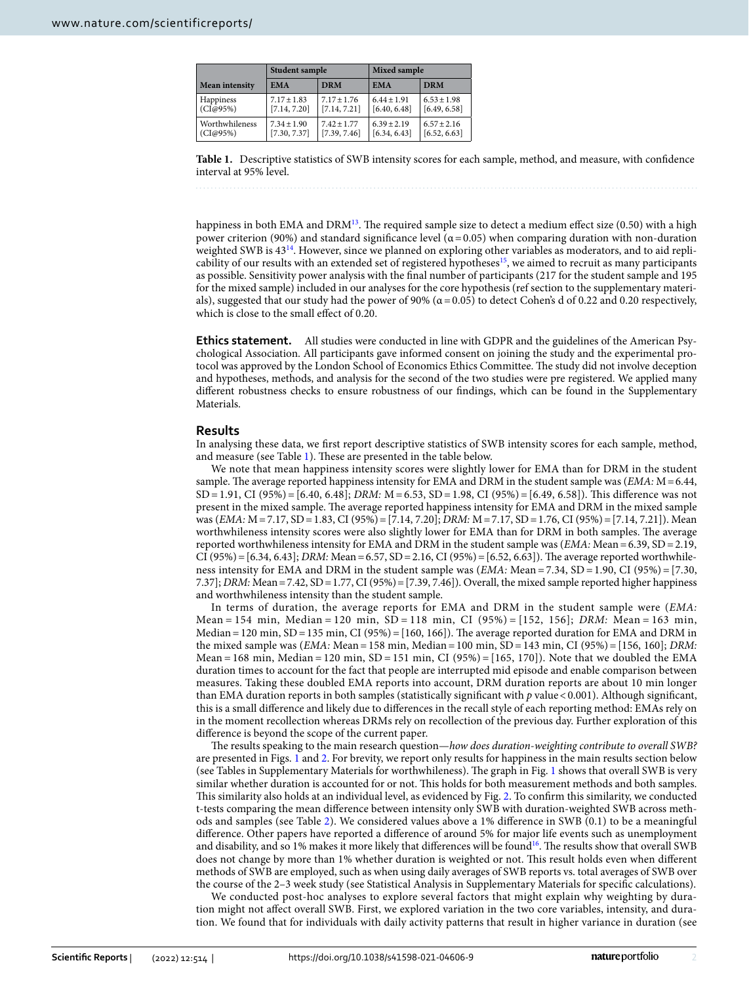|                | <b>Student sample</b> |                 | Mixed sample  |                 |  |
|----------------|-----------------------|-----------------|---------------|-----------------|--|
| Mean intensity | <b>EMA</b>            | <b>DRM</b>      | <b>EMA</b>    | <b>DRM</b>      |  |
| Happiness      | $7.17 \pm 1.83$       | $7.17 \pm 1.76$ | $6.44 + 1.91$ | $6.53 \pm 1.98$ |  |
| (CI@95%)       | [7.14, 7.20]          | [7.14, 7.21]    | [6.40, 6.48]  | [6.49, 6.58]    |  |
| Worthwhileness | $7.34 + 1.90$         | $7.42 + 1.77$   | $6.39 + 2.19$ | $6.57 + 2.16$   |  |
| (CI@95%)       | [7.30, 7.37]          | [7.39, 7.46]    | [6.34, 6.43]  | [6.52, 6.63]    |  |

<span id="page-1-0"></span>**Table 1.** Descriptive statistics of SWB intensity scores for each sample, method, and measure, with confdence interval at 95% level.

happiness in both EMA and DRM<sup>[13](#page-6-11)</sup>. The required sample size to detect a medium effect size (0.50) with a high power criterion (90%) and standard significance level ( $α = 0.05$ ) when comparing duration with non-duration weighted SWB is 43<sup>[14](#page-6-12)</sup>. However, since we planned on exploring other variables as moderators, and to aid replicability of our results with an extended set of registered hypotheses<sup>15</sup>, we aimed to recruit as many participants as possible. Sensitivity power analysis with the fnal number of participants (217 for the student sample and 195 for the mixed sample) included in our analyses for the core hypothesis (ref section to the supplementary materials), suggested that our study had the power of 90% ( $\alpha$  = 0.05) to detect Cohen's d of 0.22 and 0.20 respectively, which is close to the small effect of 0.20.

**Ethics statement.** All studies were conducted in line with GDPR and the guidelines of the American Psychological Association. All participants gave informed consent on joining the study and the experimental protocol was approved by the London School of Economics Ethics Committee. The study did not involve deception and hypotheses, methods, and analysis for the second of the two studies were pre registered. We applied many diferent robustness checks to ensure robustness of our fndings, which can be found in the Supplementary Materials.

### **Results**

In analysing these data, we frst report descriptive statistics of SWB intensity scores for each sample, method, and measure (see Table [1](#page-1-0)). These are presented in the table below.

We note that mean happiness intensity scores were slightly lower for EMA than for DRM in the student sample. The average reported happiness intensity for EMA and DRM in the student sample was  $(EMA; M=6.44,$ SD=1.91, CI (95%)=[6.40, 6.48]; *DRM:* M=6.53, SD=1.98, CI (95%)=[6.49, 6.58]). Tis diference was not present in the mixed sample. The average reported happiness intensity for EMA and DRM in the mixed sample was (*EMA:* M=7.17, SD=1.83, CI (95%)=[7.14, 7.20]; *DRM:* M=7.17, SD=1.76, CI (95%)=[7.14, 7.21]). Mean worthwhileness intensity scores were also slightly lower for EMA than for DRM in both samples. The average reported worthwhileness intensity for EMA and DRM in the student sample was (*EMA:* Mean=6.39, SD=2.19, CI (95%)=[6.34, 6.43]; *DRM:* Mean=6.57, SD=2.16, CI (95%)=[6.52, 6.63]). Te average reported worthwhileness intensity for EMA and DRM in the student sample was (*EMA:* Mean=7.34, SD=1.90, CI (95%)=[7.30, 7.37]; *DRM:* Mean=7.42, SD=1.77, CI (95%)=[7.39, 7.46]). Overall, the mixed sample reported higher happiness and worthwhileness intensity than the student sample.

In terms of duration, the average reports for EMA and DRM in the student sample were (*EMA:* Mean = 154 min, Median = 120 min, SD = 118 min, CI (95%) = [152, 156]; *DRM:* Mean = 163 min, Median = 120 min,  $SD = 135$  min,  $CI (95%) = [160, 166]$ . The average reported duration for EMA and DRM in the mixed sample was (*EMA:* Mean=158 min, Median=100 min, SD=143 min, CI (95%)=[156, 160]; *DRM:* Mean = 168 min, Median = 120 min,  $SD = 151$  min, CI (95%) = [165, 170]). Note that we doubled the EMA duration times to account for the fact that people are interrupted mid episode and enable comparison between measures. Taking these doubled EMA reports into account, DRM duration reports are about 10 min longer than EMA duration reports in both samples (statistically significant with  $p$  value <0.001). Although significant, this is a small diference and likely due to diferences in the recall style of each reporting method: EMAs rely on in the moment recollection whereas DRMs rely on recollection of the previous day. Further exploration of this diference is beyond the scope of the current paper.

The results speaking to the main research question—*how does duration-weighting contribute to overall SWB?* are presented in Figs. [1](#page-2-0) and [2](#page-2-1). For brevity, we report only results for happiness in the main results section below (see Tables in Supplementary Materials for worthwhileness). The graph in Fig. [1](#page-2-0) shows that overall SWB is very similar whether duration is accounted for or not. This holds for both measurement methods and both samples. Tis similarity also holds at an individual level, as evidenced by Fig. [2.](#page-2-1) To confrm this similarity, we conducted t-tests comparing the mean diference between intensity only SWB with duration-weighted SWB across methods and samples (see Table [2](#page-2-2)). We considered values above a 1% diference in SWB (0.1) to be a meaningful diference. Other papers have reported a diference of around 5% for major life events such as unemployment and disability, and so 1% makes it more likely that differences will be found<sup>16</sup>. The results show that overall SWB does not change by more than 1% whether duration is weighted or not. Tis result holds even when diferent methods of SWB are employed, such as when using daily averages of SWB reports vs. total averages of SWB over the course of the 2–3 week study (see Statistical Analysis in Supplementary Materials for specifc calculations).

We conducted post-hoc analyses to explore several factors that might explain why weighting by duration might not afect overall SWB. First, we explored variation in the two core variables, intensity, and duration. We found that for individuals with daily activity patterns that result in higher variance in duration (see

2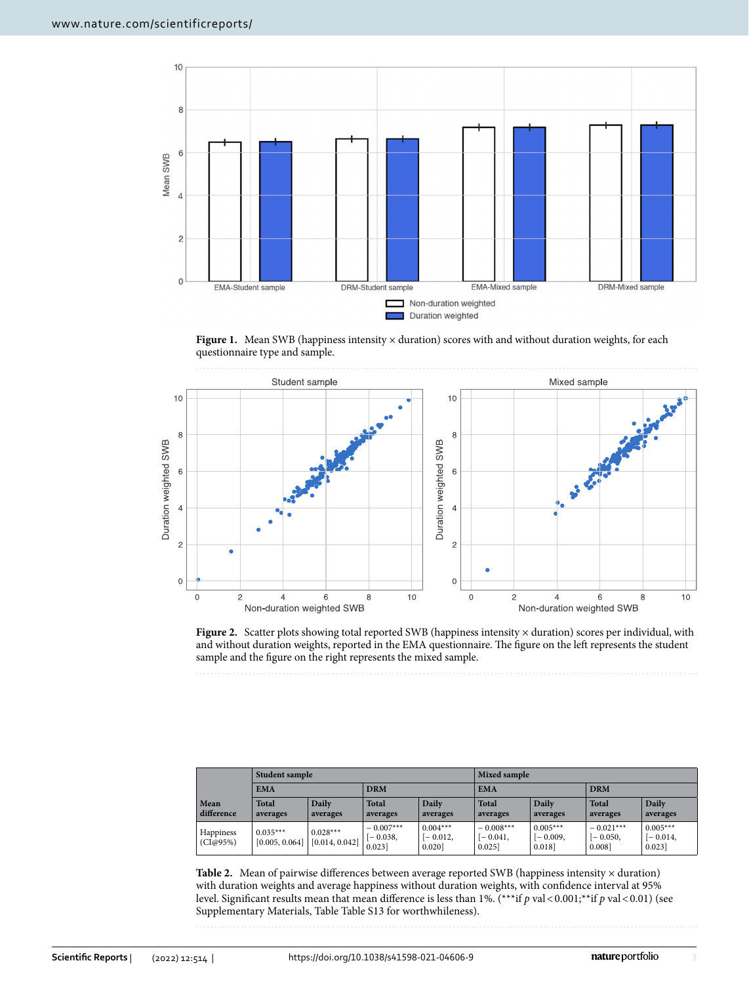

<span id="page-2-0"></span>Figure 1. Mean SWB (happiness intensity × duration) scores with and without duration weights, for each questionnaire type and sample.



<span id="page-2-1"></span>**Figure 2.** Scatter plots showing total reported SWB (happiness intensity × duration) scores per individual, with and without duration weights, reported in the EMA questionnaire. The figure on the left represents the student sample and the fgure on the right represents the mixed sample.

|                       | Student sample               |                              |                                    |                                    | <b>Mixed sample</b>                |                                   |                                     |                                   |
|-----------------------|------------------------------|------------------------------|------------------------------------|------------------------------------|------------------------------------|-----------------------------------|-------------------------------------|-----------------------------------|
|                       | <b>EMA</b>                   |                              | <b>DRM</b>                         |                                    | <b>EMA</b>                         |                                   | <b>DRM</b>                          |                                   |
| Mean<br>difference    | <b>Total</b><br>averages     | Daily<br>averages            | <b>Total</b><br>averages           | Daily<br>averages                  | <b>Total</b><br>averages           | Daily<br>averages                 | <b>Total</b><br>averages            | Daily<br>averages                 |
| Happiness<br>(CI@95%) | $0.035***$<br>[0.005, 0.064] | $0.028***$<br>[0.014, 0.042] | $-0.007***$<br>$[-0.038,$<br>0.023 | $0.004***$<br>$[-0.012,$<br>0.0201 | $-0.008***$<br>$[-0.041,$<br>0.025 | $0.005***$<br>$[-0.009,$<br>0.018 | $-0.021***$<br>$[-0.050,$<br>0.0081 | $0.005***$<br>$[-0.014,$<br>0.023 |

<span id="page-2-2"></span>Table 2. Mean of pairwise differences between average reported SWB (happiness intensity  $\times$  duration) with duration weights and average happiness without duration weights, with confdence interval at 95% level. Significant results mean that mean difference is less than 1%. (\*\*\*if *p* val < 0.001;\*\*if *p* val < 0.01) (see Supplementary Materials, Table Table S13 for worthwhileness).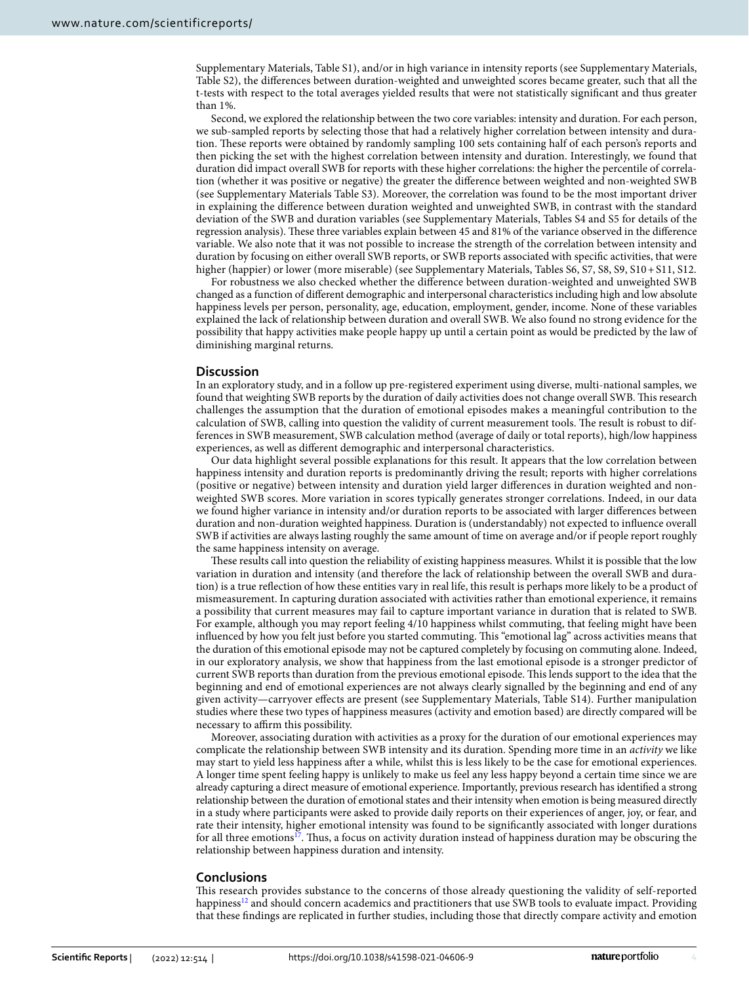Supplementary Materials, Table S1), and/or in high variance in intensity reports (see Supplementary Materials, Table S2), the diferences between duration-weighted and unweighted scores became greater, such that all the t-tests with respect to the total averages yielded results that were not statistically signifcant and thus greater than 1%.

Second, we explored the relationship between the two core variables: intensity and duration. For each person, we sub-sampled reports by selecting those that had a relatively higher correlation between intensity and duration. These reports were obtained by randomly sampling 100 sets containing half of each person's reports and then picking the set with the highest correlation between intensity and duration. Interestingly, we found that duration did impact overall SWB for reports with these higher correlations: the higher the percentile of correlation (whether it was positive or negative) the greater the diference between weighted and non-weighted SWB (see Supplementary Materials Table S3). Moreover, the correlation was found to be the most important driver in explaining the diference between duration weighted and unweighted SWB, in contrast with the standard deviation of the SWB and duration variables (see Supplementary Materials, Tables S4 and S5 for details of the regression analysis). These three variables explain between 45 and 81% of the variance observed in the difference variable. We also note that it was not possible to increase the strength of the correlation between intensity and duration by focusing on either overall SWB reports, or SWB reports associated with specifc activities, that were higher (happier) or lower (more miserable) (see Supplementary Materials, Tables S6, S7, S8, S9, S10+S11, S12.

For robustness we also checked whether the diference between duration-weighted and unweighted SWB changed as a function of diferent demographic and interpersonal characteristics including high and low absolute happiness levels per person, personality, age, education, employment, gender, income. None of these variables explained the lack of relationship between duration and overall SWB. We also found no strong evidence for the possibility that happy activities make people happy up until a certain point as would be predicted by the law of diminishing marginal returns.

#### **Discussion**

In an exploratory study, and in a follow up pre-registered experiment using diverse, multi-national samples, we found that weighting SWB reports by the duration of daily activities does not change overall SWB. Tis research challenges the assumption that the duration of emotional episodes makes a meaningful contribution to the calculation of SWB, calling into question the validity of current measurement tools. The result is robust to differences in SWB measurement, SWB calculation method (average of daily or total reports), high/low happiness experiences, as well as diferent demographic and interpersonal characteristics.

Our data highlight several possible explanations for this result. It appears that the low correlation between happiness intensity and duration reports is predominantly driving the result; reports with higher correlations (positive or negative) between intensity and duration yield larger diferences in duration weighted and nonweighted SWB scores. More variation in scores typically generates stronger correlations. Indeed, in our data we found higher variance in intensity and/or duration reports to be associated with larger diferences between duration and non-duration weighted happiness. Duration is (understandably) not expected to infuence overall SWB if activities are always lasting roughly the same amount of time on average and/or if people report roughly the same happiness intensity on average.

These results call into question the reliability of existing happiness measures. Whilst it is possible that the low variation in duration and intensity (and therefore the lack of relationship between the overall SWB and duration) is a true refection of how these entities vary in real life, this result is perhaps more likely to be a product of mismeasurement. In capturing duration associated with activities rather than emotional experience, it remains a possibility that current measures may fail to capture important variance in duration that is related to SWB. For example, although you may report feeling 4/10 happiness whilst commuting, that feeling might have been infuenced by how you felt just before you started commuting. Tis "emotional lag" across activities means that the duration of this emotional episode may not be captured completely by focusing on commuting alone. Indeed, in our exploratory analysis, we show that happiness from the last emotional episode is a stronger predictor of current SWB reports than duration from the previous emotional episode. This lends support to the idea that the beginning and end of emotional experiences are not always clearly signalled by the beginning and end of any given activity—carryover efects are present (see Supplementary Materials, Table S14). Further manipulation studies where these two types of happiness measures (activity and emotion based) are directly compared will be necessary to affirm this possibility.

Moreover, associating duration with activities as a proxy for the duration of our emotional experiences may complicate the relationship between SWB intensity and its duration. Spending more time in an *activity* we like may start to yield less happiness afer a while, whilst this is less likely to be the case for emotional experiences. A longer time spent feeling happy is unlikely to make us feel any less happy beyond a certain time since we are already capturing a direct measure of emotional experience. Importantly, previous research has identifed a strong relationship between the duration of emotional states and their intensity when emotion is being measured directly in a study where participants were asked to provide daily reports on their experiences of anger, joy, or fear, and rate their intensity, higher emotional intensity was found to be signifcantly associated with longer durations for all three emotions<sup>17</sup>. Thus, a focus on activity duration instead of happiness duration may be obscuring the relationship between happiness duration and intensity.

## **Conclusions**

Tis research provides substance to the concerns of those already questioning the validity of self-reported happiness<sup>[12](#page-6-10)</sup> and should concern academics and practitioners that use SWB tools to evaluate impact. Providing that these fndings are replicated in further studies, including those that directly compare activity and emotion

4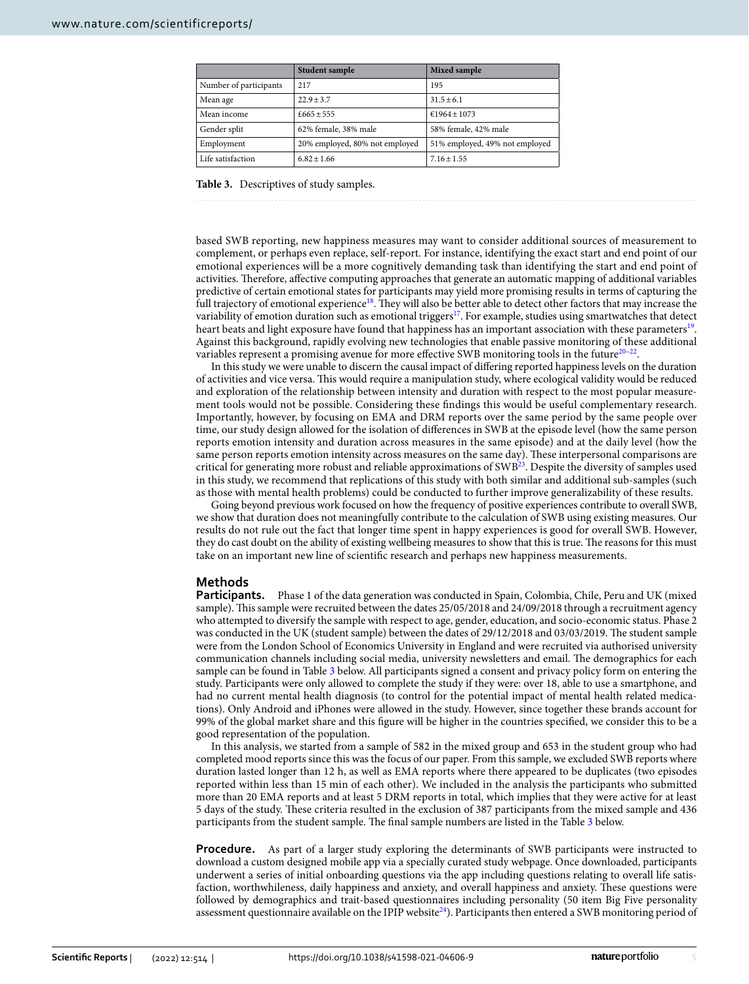|                        | <b>Student sample</b>          | Mixed sample                   |  |  |
|------------------------|--------------------------------|--------------------------------|--|--|
| Number of participants | 217                            | 195                            |  |  |
| Mean age               | $22.9 + 3.7$                   | $31.5 \pm 6.1$                 |  |  |
| Mean income            | $£665 + 555$                   | $£1964 + 1073$                 |  |  |
| Gender split           | 62% female, 38% male           | 58% female, 42% male           |  |  |
| Employment             | 20% employed, 80% not employed | 51% employed, 49% not employed |  |  |
| Life satisfaction      | $6.82 + 1.66$                  | $7.16 \pm 1.55$                |  |  |

<span id="page-4-0"></span>**Table 3.** Descriptives of study samples.

based SWB reporting, new happiness measures may want to consider additional sources of measurement to complement, or perhaps even replace, self-report. For instance, identifying the exact start and end point of our emotional experiences will be a more cognitively demanding task than identifying the start and end point of activities. Therefore, affective computing approaches that generate an automatic mapping of additional variables predictive of certain emotional states for participants may yield more promising results in terms of capturing the full trajectory of emotional experience<sup>[18](#page-6-16)</sup>. They will also be better able to detect other factors that may increase the variability of emotion duration such as emotional triggers<sup>[17](#page-6-15)</sup>. For example, studies using smartwatches that detect heart beats and light exposure have found that happiness has an important association with these parameters<sup>19</sup>. Against this background, rapidly evolving new technologies that enable passive monitoring of these additional variables represent a promising avenue for more effective SWB monitoring tools in the future $20-22$  $20-22$ .

In this study we were unable to discern the causal impact of difering reported happiness levels on the duration of activities and vice versa. Tis would require a manipulation study, where ecological validity would be reduced and exploration of the relationship between intensity and duration with respect to the most popular measurement tools would not be possible. Considering these fndings this would be useful complementary research. Importantly, however, by focusing on EMA and DRM reports over the same period by the same people over time, our study design allowed for the isolation of diferences in SWB at the episode level (how the same person reports emotion intensity and duration across measures in the same episode) and at the daily level (how the same person reports emotion intensity across measures on the same day). These interpersonal comparisons are critical for generating more robust and reliable approximations of SWB<sup>23</sup>. Despite the diversity of samples used in this study, we recommend that replications of this study with both similar and additional sub-samples (such as those with mental health problems) could be conducted to further improve generalizability of these results.

Going beyond previous work focused on how the frequency of positive experiences contribute to overall SWB, we show that duration does not meaningfully contribute to the calculation of SWB using existing measures. Our results do not rule out the fact that longer time spent in happy experiences is good for overall SWB. However, they do cast doubt on the ability of existing wellbeing measures to show that this is true. The reasons for this must take on an important new line of scientifc research and perhaps new happiness measurements.

# **Methods**

**Participants.** Phase 1 of the data generation was conducted in Spain, Colombia, Chile, Peru and UK (mixed) sample). This sample were recruited between the dates 25/05/2018 and 24/09/2018 through a recruitment agency who attempted to diversify the sample with respect to age, gender, education, and socio-economic status. Phase 2 was conducted in the UK (student sample) between the dates of 29/12/2018 and 03/03/2019. The student sample were from the London School of Economics University in England and were recruited via authorised university communication channels including social media, university newsletters and email. The demographics for each sample can be found in Table [3](#page-4-0) below. All participants signed a consent and privacy policy form on entering the study. Participants were only allowed to complete the study if they were: over 18, able to use a smartphone, and had no current mental health diagnosis (to control for the potential impact of mental health related medications). Only Android and iPhones were allowed in the study. However, since together these brands account for 99% of the global market share and this fgure will be higher in the countries specifed, we consider this to be a good representation of the population.

In this analysis, we started from a sample of 582 in the mixed group and 653 in the student group who had completed mood reports since this was the focus of our paper. From this sample, we excluded SWB reports where duration lasted longer than 12 h, as well as EMA reports where there appeared to be duplicates (two episodes reported within less than 15 min of each other). We included in the analysis the participants who submitted more than 20 EMA reports and at least 5 DRM reports in total, which implies that they were active for at least 5 days of the study. Tese criteria resulted in the exclusion of 387 participants from the mixed sample and 436 participants from the student sample. The final sample numbers are listed in the Table [3](#page-4-0) below.

**Procedure.** As part of a larger study exploring the determinants of SWB participants were instructed to download a custom designed mobile app via a specially curated study webpage. Once downloaded, participants underwent a series of initial onboarding questions via the app including questions relating to overall life satisfaction, worthwhileness, daily happiness and anxiety, and overall happiness and anxiety. These questions were followed by demographics and trait-based questionnaires including personality (50 item Big Five personality assessment questionnaire available on the IPIP website<sup>24</sup>). Participants then entered a SWB monitoring period of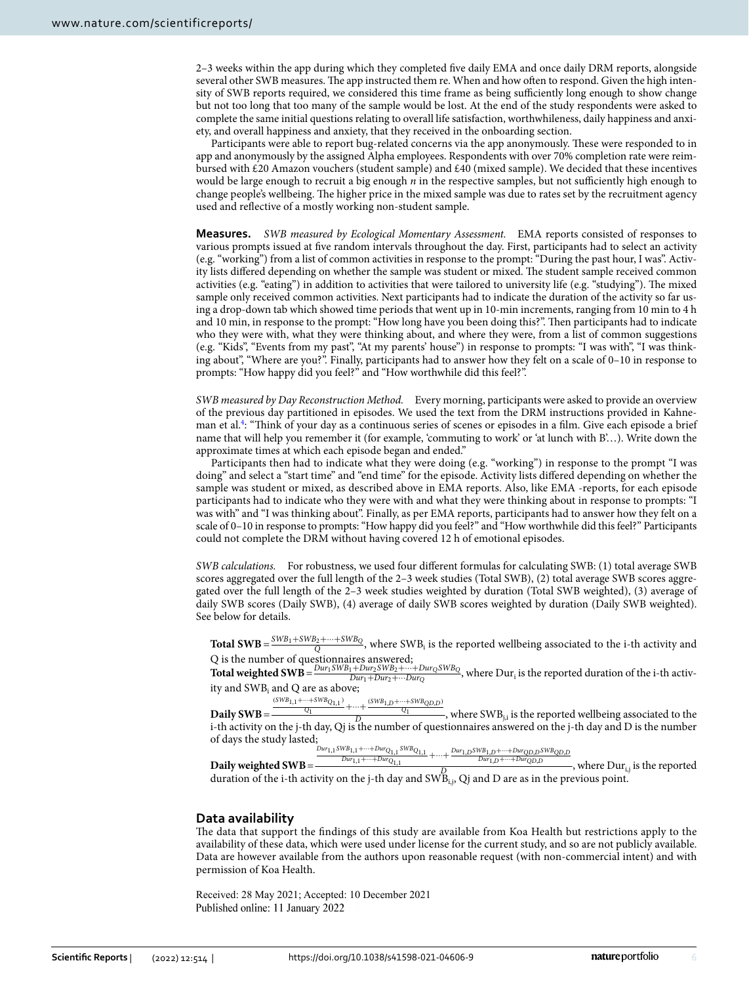2–3 weeks within the app during which they completed fve daily EMA and once daily DRM reports, alongside several other SWB measures. The app instructed them re. When and how often to respond. Given the high intensity of SWB reports required, we considered this time frame as being sufficiently long enough to show change but not too long that too many of the sample would be lost. At the end of the study respondents were asked to complete the same initial questions relating to overall life satisfaction, worthwhileness, daily happiness and anxiety, and overall happiness and anxiety, that they received in the onboarding section.

Participants were able to report bug-related concerns via the app anonymously. These were responded to in app and anonymously by the assigned Alpha employees. Respondents with over 70% completion rate were reimbursed with £20 Amazon vouchers (student sample) and £40 (mixed sample). We decided that these incentives would be large enough to recruit a big enough  $n$  in the respective samples, but not sufficiently high enough to change people's wellbeing. The higher price in the mixed sample was due to rates set by the recruitment agency used and refective of a mostly working non-student sample.

**Measures.** *SWB measured by Ecological Momentary Assessment.* EMA reports consisted of responses to various prompts issued at fve random intervals throughout the day. First, participants had to select an activity (e.g. "working") from a list of common activities in response to the prompt: "During the past hour, I was". Activity lists differed depending on whether the sample was student or mixed. The student sample received common activities (e.g. "eating") in addition to activities that were tailored to university life (e.g. "studying"). The mixed sample only received common activities. Next participants had to indicate the duration of the activity so far using a drop-down tab which showed time periods that went up in 10-min increments, ranging from 10 min to 4 h and 10 min, in response to the prompt: "How long have you been doing this?". Ten participants had to indicate who they were with, what they were thinking about, and where they were, from a list of common suggestions (e.g. "Kids", "Events from my past", "At my parents' house") in response to prompts: "I was with", "I was thinking about", "Where are you?". Finally, participants had to answer how they felt on a scale of 0–10 in response to prompts: "How happy did you feel?" and "How worthwhile did this feel?".

*SWB measured by Day Reconstruction Method.* Every morning, participants were asked to provide an overview of the previous day partitioned in episodes. We used the text from the DRM instructions provided in Kahne-man et al.<sup>[4](#page-6-3)</sup>: "Think of your day as a continuous series of scenes or episodes in a film. Give each episode a brief name that will help you remember it (for example, 'commuting to work' or 'at lunch with B'…). Write down the approximate times at which each episode began and ended."

Participants then had to indicate what they were doing (e.g. "working") in response to the prompt "I was doing" and select a "start time" and "end time" for the episode. Activity lists difered depending on whether the sample was student or mixed, as described above in EMA reports. Also, like EMA -reports, for each episode participants had to indicate who they were with and what they were thinking about in response to prompts: "I was with" and "I was thinking about". Finally, as per EMA reports, participants had to answer how they felt on a scale of 0–10 in response to prompts: "How happy did you feel?" and "How worthwhile did this feel?" Participants could not complete the DRM without having covered 12 h of emotional episodes.

*SWB calculations.* For robustness, we used four diferent formulas for calculating SWB: (1) total average SWB scores aggregated over the full length of the 2–3 week studies (Total SWB), (2) total average SWB scores aggregated over the full length of the 2–3 week studies weighted by duration (Total SWB weighted), (3) average of daily SWB scores (Daily SWB), (4) average of daily SWB scores weighted by duration (Daily SWB weighted). See below for details.

**Total SWB** =  $\frac{SWB_1 + SWB_2 + \dots + SWB_Q}{Q}$ , where SWB<sub>i</sub> is the reported wellbeing associated to the i-th activity and Q is the number of questionnaires answered;

**Total weighted SWB** =  $\frac{Dur_1SWB_1+Dur_2SWB_2+...+Dur_{D}}{Dur_1+Dur_2+...Dur_{D}}$  $\frac{D_{1}+D_{0}+D_{1}}{D_{0}}$  =  $D_{1}+D_{1}+D_{2}+D_{2}+D_{3}+D_{4}$  , where  $D_{1}$  is the reported duration of the i-th activity and SWB<sub>i</sub> and Q are as above;

**Daily SWB**=  $\frac{(SWB_{1,1} + \cdots + SWB_{Q_{1,1}})}{Q_1} + \cdots + \frac{(SWB_{1,D} + \cdots + SWB_{QD,D})}{Q_1}$ , where SWB<sub>j,i</sub> is the reported wellbeing associated to the i-th activity on the j-th day, Qj is the number of questionnaires answered on the j-th day and D is the number of days the study lasted;

 $Dur_{1,1}SWB_{1,1} + \cdots + Dur_{Q_{1,1}}SWB_{Q_{1,1}}$ 

**Daily weighted SWB**=  $\frac{D_{W_1,1} + \cdots + D_{W}C_{0,1,1} SWB_{Q_{1,1}}}{D_{W_1,1} + \cdots + D_{W}C_{0,1,1}} + \cdots + \frac{D_{W1,D} SWB_{B,1} + \cdots + D_{W}C_{D,D} SWB_{QD,D}}{D_{W1,D} + \cdots + D_{W}C_{D,D}}$ , where  $Dur_{i,j}$  is the reported duration of the i-th activity on the j-th day and  $SWB_{i,j}$ , Qj and D are as in the previous point.

## **Data availability**

The data that support the findings of this study are available from Koa Health but restrictions apply to the availability of these data, which were used under license for the current study, and so are not publicly available. Data are however available from the authors upon reasonable request (with non-commercial intent) and with permission of Koa Health.

Received: 28 May 2021; Accepted: 10 December 2021Published online: 11 January 2022